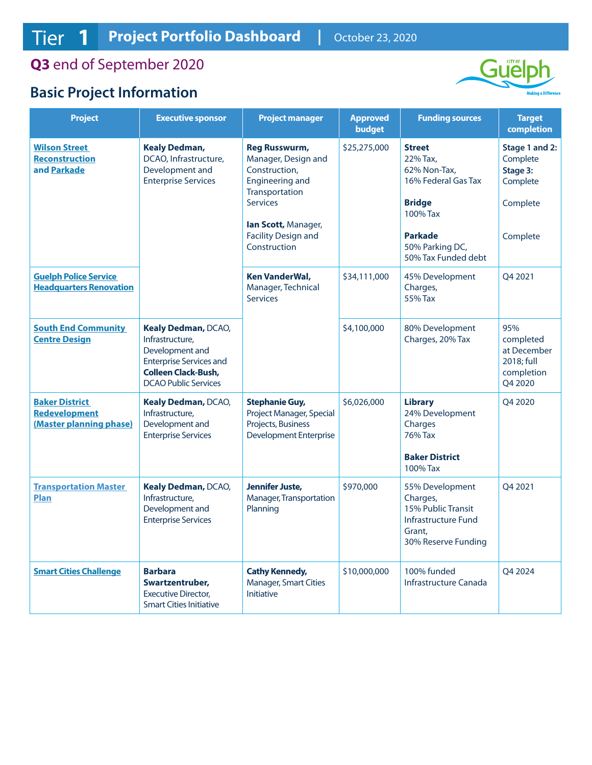**Q3** end of September 2020

## **Basic Project Information**



| <b>Project</b>                                                           | <b>Executive sponsor</b>                                                                                                                                 | <b>Project manager</b>                                                                                                                                                                           | <b>Approved</b><br>budget | <b>Funding sources</b>                                                                                                                                    | <b>Target</b><br>completion                                                |
|--------------------------------------------------------------------------|----------------------------------------------------------------------------------------------------------------------------------------------------------|--------------------------------------------------------------------------------------------------------------------------------------------------------------------------------------------------|---------------------------|-----------------------------------------------------------------------------------------------------------------------------------------------------------|----------------------------------------------------------------------------|
| <b>Wilson Street</b><br><b>Reconstruction</b><br>and Parkade             | <b>Kealy Dedman,</b><br>DCAO, Infrastructure,<br>Development and<br><b>Enterprise Services</b>                                                           | <b>Reg Russwurm,</b><br>Manager, Design and<br>Construction,<br><b>Engineering and</b><br>Transportation<br><b>Services</b><br>lan Scott, Manager,<br><b>Facility Design and</b><br>Construction | \$25,275,000              | <b>Street</b><br>22% Tax.<br>62% Non-Tax,<br>16% Federal Gas Tax<br><b>Bridge</b><br>100% Tax<br><b>Parkade</b><br>50% Parking DC,<br>50% Tax Funded debt | Stage 1 and 2:<br>Complete<br>Stage 3:<br>Complete<br>Complete<br>Complete |
| <b>Guelph Police Service</b><br><b>Headquarters Renovation</b>           |                                                                                                                                                          | <b>Ken VanderWal,</b><br>Manager, Technical<br><b>Services</b>                                                                                                                                   | \$34,111,000              | 45% Development<br>Charges,<br>55% Tax                                                                                                                    | Q4 2021                                                                    |
| <b>South End Community</b><br><b>Centre Design</b>                       | Kealy Dedman, DCAO,<br>Infrastructure,<br>Development and<br><b>Enterprise Services and</b><br><b>Colleen Clack-Bush,</b><br><b>DCAO Public Services</b> |                                                                                                                                                                                                  | \$4,100,000               | 80% Development<br>Charges, 20% Tax                                                                                                                       | 95%<br>completed<br>at December<br>2018; full<br>completion<br>Q4 2020     |
| <b>Baker District</b><br><b>Redevelopment</b><br>(Master planning phase) | Kealy Dedman, DCAO,<br>Infrastructure,<br>Development and<br><b>Enterprise Services</b>                                                                  | <b>Stephanie Guy,</b><br>Project Manager, Special<br>Projects, Business<br><b>Development Enterprise</b>                                                                                         | \$6,026,000               | <b>Library</b><br>24% Development<br>Charges<br><b>76% Tax</b><br><b>Baker District</b><br>100% Tax                                                       | Q4 2020                                                                    |
| <b>Transportation Master</b><br><b>Plan</b>                              | Kealy Dedman, DCAO,<br>Infrastructure,<br>Development and<br><b>Enterprise Services</b>                                                                  | <b>Jennifer Juste,</b><br>Manager, Transportation<br>Planning                                                                                                                                    | \$970,000                 | 55% Development<br>Charges,<br>15% Public Transit<br>Infrastructure Fund<br>Grant,<br>30% Reserve Funding                                                 | O4 2021                                                                    |
| <b>Smart Cities Challenge</b>                                            | <b>Barbara</b><br>Swartzentruber,<br><b>Executive Director,</b><br><b>Smart Cities Initiative</b>                                                        | <b>Cathy Kennedy,</b><br><b>Manager, Smart Cities</b><br><b>Initiative</b>                                                                                                                       | \$10,000,000              | 100% funded<br>Infrastructure Canada                                                                                                                      | Q4 2024                                                                    |